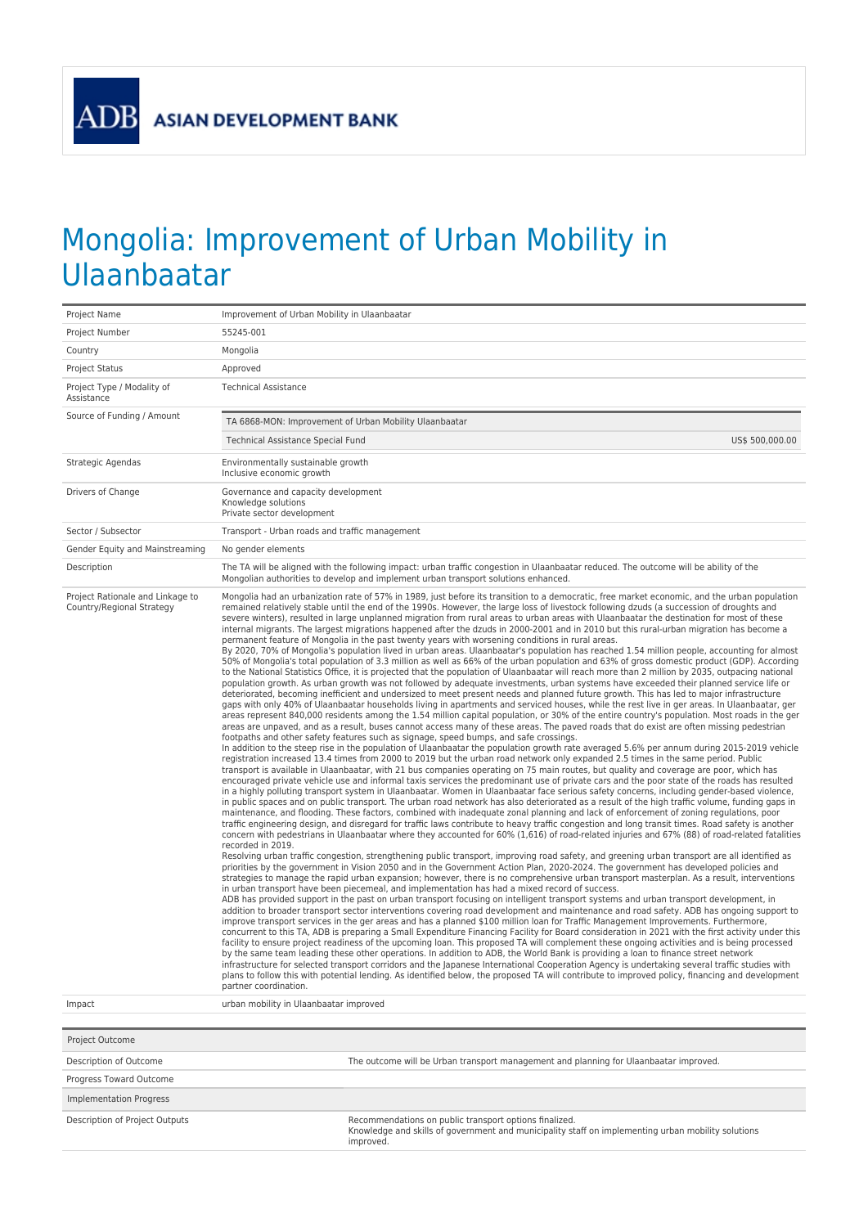## Mongolia: Improvement of Urban Mobility in Ulaanbaatar

| Project Name                                                            | Improvement of Urban Mobility in Ulaanbaatar                                                                                                                                                                                                                                                                                                                                                                                                                                                                                                                                                                                                                                                                                                                                                                                                                                                                                                                                                                                                                                                                                                                                                                                                                                                                                                                                                                                                                                                                                                                                                                                                                                                                                                                                                                                                                                                                                                                                                                                                                                                                                                                                                                                                                                                                                                                                                                                                                                                                                                                                                                                                                                                                                                                                                                                                                                                                                                                                                                                                                                                                                                                                                                                                                                                                                                                                                                                                                                                                                                                                                                                                                                                                                                                                                                                                                                                                                                                                                                                                                                                                                                                                                                                                                                                                                                                                                                                                                                                                                                                                                                                                                                                                                                                                                                                                                                                                                                                                                                                                                                                      |  |  |  |  |  |
|-------------------------------------------------------------------------|---------------------------------------------------------------------------------------------------------------------------------------------------------------------------------------------------------------------------------------------------------------------------------------------------------------------------------------------------------------------------------------------------------------------------------------------------------------------------------------------------------------------------------------------------------------------------------------------------------------------------------------------------------------------------------------------------------------------------------------------------------------------------------------------------------------------------------------------------------------------------------------------------------------------------------------------------------------------------------------------------------------------------------------------------------------------------------------------------------------------------------------------------------------------------------------------------------------------------------------------------------------------------------------------------------------------------------------------------------------------------------------------------------------------------------------------------------------------------------------------------------------------------------------------------------------------------------------------------------------------------------------------------------------------------------------------------------------------------------------------------------------------------------------------------------------------------------------------------------------------------------------------------------------------------------------------------------------------------------------------------------------------------------------------------------------------------------------------------------------------------------------------------------------------------------------------------------------------------------------------------------------------------------------------------------------------------------------------------------------------------------------------------------------------------------------------------------------------------------------------------------------------------------------------------------------------------------------------------------------------------------------------------------------------------------------------------------------------------------------------------------------------------------------------------------------------------------------------------------------------------------------------------------------------------------------------------------------------------------------------------------------------------------------------------------------------------------------------------------------------------------------------------------------------------------------------------------------------------------------------------------------------------------------------------------------------------------------------------------------------------------------------------------------------------------------------------------------------------------------------------------------------------------------------------------------------------------------------------------------------------------------------------------------------------------------------------------------------------------------------------------------------------------------------------------------------------------------------------------------------------------------------------------------------------------------------------------------------------------------------------------------------------------------------------------------------------------------------------------------------------------------------------------------------------------------------------------------------------------------------------------------------------------------------------------------------------------------------------------------------------------------------------------------------------------------------------------------------------------------------------------------------------------------------------------------------------------------------------------------------------------------------------------------------------------------------------------------------------------------------------------------------------------------------------------------------------------------------------------------------------------------------------------------------------------------------------------------------------------------------------------------------------------------------------------------------------------------------------|--|--|--|--|--|
| Project Number                                                          | 55245-001                                                                                                                                                                                                                                                                                                                                                                                                                                                                                                                                                                                                                                                                                                                                                                                                                                                                                                                                                                                                                                                                                                                                                                                                                                                                                                                                                                                                                                                                                                                                                                                                                                                                                                                                                                                                                                                                                                                                                                                                                                                                                                                                                                                                                                                                                                                                                                                                                                                                                                                                                                                                                                                                                                                                                                                                                                                                                                                                                                                                                                                                                                                                                                                                                                                                                                                                                                                                                                                                                                                                                                                                                                                                                                                                                                                                                                                                                                                                                                                                                                                                                                                                                                                                                                                                                                                                                                                                                                                                                                                                                                                                                                                                                                                                                                                                                                                                                                                                                                                                                                                                                         |  |  |  |  |  |
| Country                                                                 | Mongolia                                                                                                                                                                                                                                                                                                                                                                                                                                                                                                                                                                                                                                                                                                                                                                                                                                                                                                                                                                                                                                                                                                                                                                                                                                                                                                                                                                                                                                                                                                                                                                                                                                                                                                                                                                                                                                                                                                                                                                                                                                                                                                                                                                                                                                                                                                                                                                                                                                                                                                                                                                                                                                                                                                                                                                                                                                                                                                                                                                                                                                                                                                                                                                                                                                                                                                                                                                                                                                                                                                                                                                                                                                                                                                                                                                                                                                                                                                                                                                                                                                                                                                                                                                                                                                                                                                                                                                                                                                                                                                                                                                                                                                                                                                                                                                                                                                                                                                                                                                                                                                                                                          |  |  |  |  |  |
| <b>Project Status</b>                                                   | Approved                                                                                                                                                                                                                                                                                                                                                                                                                                                                                                                                                                                                                                                                                                                                                                                                                                                                                                                                                                                                                                                                                                                                                                                                                                                                                                                                                                                                                                                                                                                                                                                                                                                                                                                                                                                                                                                                                                                                                                                                                                                                                                                                                                                                                                                                                                                                                                                                                                                                                                                                                                                                                                                                                                                                                                                                                                                                                                                                                                                                                                                                                                                                                                                                                                                                                                                                                                                                                                                                                                                                                                                                                                                                                                                                                                                                                                                                                                                                                                                                                                                                                                                                                                                                                                                                                                                                                                                                                                                                                                                                                                                                                                                                                                                                                                                                                                                                                                                                                                                                                                                                                          |  |  |  |  |  |
| Project Type / Modality of<br>Assistance                                | <b>Technical Assistance</b>                                                                                                                                                                                                                                                                                                                                                                                                                                                                                                                                                                                                                                                                                                                                                                                                                                                                                                                                                                                                                                                                                                                                                                                                                                                                                                                                                                                                                                                                                                                                                                                                                                                                                                                                                                                                                                                                                                                                                                                                                                                                                                                                                                                                                                                                                                                                                                                                                                                                                                                                                                                                                                                                                                                                                                                                                                                                                                                                                                                                                                                                                                                                                                                                                                                                                                                                                                                                                                                                                                                                                                                                                                                                                                                                                                                                                                                                                                                                                                                                                                                                                                                                                                                                                                                                                                                                                                                                                                                                                                                                                                                                                                                                                                                                                                                                                                                                                                                                                                                                                                                                       |  |  |  |  |  |
| Source of Funding / Amount                                              | TA 6868-MON: Improvement of Urban Mobility Ulaanbaatar                                                                                                                                                                                                                                                                                                                                                                                                                                                                                                                                                                                                                                                                                                                                                                                                                                                                                                                                                                                                                                                                                                                                                                                                                                                                                                                                                                                                                                                                                                                                                                                                                                                                                                                                                                                                                                                                                                                                                                                                                                                                                                                                                                                                                                                                                                                                                                                                                                                                                                                                                                                                                                                                                                                                                                                                                                                                                                                                                                                                                                                                                                                                                                                                                                                                                                                                                                                                                                                                                                                                                                                                                                                                                                                                                                                                                                                                                                                                                                                                                                                                                                                                                                                                                                                                                                                                                                                                                                                                                                                                                                                                                                                                                                                                                                                                                                                                                                                                                                                                                                            |  |  |  |  |  |
|                                                                         | Technical Assistance Special Fund<br>US\$ 500,000.00                                                                                                                                                                                                                                                                                                                                                                                                                                                                                                                                                                                                                                                                                                                                                                                                                                                                                                                                                                                                                                                                                                                                                                                                                                                                                                                                                                                                                                                                                                                                                                                                                                                                                                                                                                                                                                                                                                                                                                                                                                                                                                                                                                                                                                                                                                                                                                                                                                                                                                                                                                                                                                                                                                                                                                                                                                                                                                                                                                                                                                                                                                                                                                                                                                                                                                                                                                                                                                                                                                                                                                                                                                                                                                                                                                                                                                                                                                                                                                                                                                                                                                                                                                                                                                                                                                                                                                                                                                                                                                                                                                                                                                                                                                                                                                                                                                                                                                                                                                                                                                              |  |  |  |  |  |
| Strategic Agendas                                                       | Environmentally sustainable growth<br>Inclusive economic growth                                                                                                                                                                                                                                                                                                                                                                                                                                                                                                                                                                                                                                                                                                                                                                                                                                                                                                                                                                                                                                                                                                                                                                                                                                                                                                                                                                                                                                                                                                                                                                                                                                                                                                                                                                                                                                                                                                                                                                                                                                                                                                                                                                                                                                                                                                                                                                                                                                                                                                                                                                                                                                                                                                                                                                                                                                                                                                                                                                                                                                                                                                                                                                                                                                                                                                                                                                                                                                                                                                                                                                                                                                                                                                                                                                                                                                                                                                                                                                                                                                                                                                                                                                                                                                                                                                                                                                                                                                                                                                                                                                                                                                                                                                                                                                                                                                                                                                                                                                                                                                   |  |  |  |  |  |
| Drivers of Change                                                       | Governance and capacity development<br>Knowledge solutions<br>Private sector development                                                                                                                                                                                                                                                                                                                                                                                                                                                                                                                                                                                                                                                                                                                                                                                                                                                                                                                                                                                                                                                                                                                                                                                                                                                                                                                                                                                                                                                                                                                                                                                                                                                                                                                                                                                                                                                                                                                                                                                                                                                                                                                                                                                                                                                                                                                                                                                                                                                                                                                                                                                                                                                                                                                                                                                                                                                                                                                                                                                                                                                                                                                                                                                                                                                                                                                                                                                                                                                                                                                                                                                                                                                                                                                                                                                                                                                                                                                                                                                                                                                                                                                                                                                                                                                                                                                                                                                                                                                                                                                                                                                                                                                                                                                                                                                                                                                                                                                                                                                                          |  |  |  |  |  |
| Sector / Subsector                                                      | Transport - Urban roads and traffic management                                                                                                                                                                                                                                                                                                                                                                                                                                                                                                                                                                                                                                                                                                                                                                                                                                                                                                                                                                                                                                                                                                                                                                                                                                                                                                                                                                                                                                                                                                                                                                                                                                                                                                                                                                                                                                                                                                                                                                                                                                                                                                                                                                                                                                                                                                                                                                                                                                                                                                                                                                                                                                                                                                                                                                                                                                                                                                                                                                                                                                                                                                                                                                                                                                                                                                                                                                                                                                                                                                                                                                                                                                                                                                                                                                                                                                                                                                                                                                                                                                                                                                                                                                                                                                                                                                                                                                                                                                                                                                                                                                                                                                                                                                                                                                                                                                                                                                                                                                                                                                                    |  |  |  |  |  |
| Gender Equity and Mainstreaming                                         | No gender elements                                                                                                                                                                                                                                                                                                                                                                                                                                                                                                                                                                                                                                                                                                                                                                                                                                                                                                                                                                                                                                                                                                                                                                                                                                                                                                                                                                                                                                                                                                                                                                                                                                                                                                                                                                                                                                                                                                                                                                                                                                                                                                                                                                                                                                                                                                                                                                                                                                                                                                                                                                                                                                                                                                                                                                                                                                                                                                                                                                                                                                                                                                                                                                                                                                                                                                                                                                                                                                                                                                                                                                                                                                                                                                                                                                                                                                                                                                                                                                                                                                                                                                                                                                                                                                                                                                                                                                                                                                                                                                                                                                                                                                                                                                                                                                                                                                                                                                                                                                                                                                                                                |  |  |  |  |  |
| Description                                                             | The TA will be aligned with the following impact: urban traffic congestion in Ulaanbaatar reduced. The outcome will be ability of the<br>Mongolian authorities to develop and implement urban transport solutions enhanced.                                                                                                                                                                                                                                                                                                                                                                                                                                                                                                                                                                                                                                                                                                                                                                                                                                                                                                                                                                                                                                                                                                                                                                                                                                                                                                                                                                                                                                                                                                                                                                                                                                                                                                                                                                                                                                                                                                                                                                                                                                                                                                                                                                                                                                                                                                                                                                                                                                                                                                                                                                                                                                                                                                                                                                                                                                                                                                                                                                                                                                                                                                                                                                                                                                                                                                                                                                                                                                                                                                                                                                                                                                                                                                                                                                                                                                                                                                                                                                                                                                                                                                                                                                                                                                                                                                                                                                                                                                                                                                                                                                                                                                                                                                                                                                                                                                                                       |  |  |  |  |  |
| Project Rationale and Linkage to<br>Country/Regional Strategy<br>Impact | Mongolia had an urbanization rate of 57% in 1989, just before its transition to a democratic, free market economic, and the urban population<br>remained relatively stable until the end of the 1990s. However, the large loss of livestock following dzuds (a succession of droughts and<br>severe winters), resulted in large unplanned migration from rural areas to urban areas with Ulaanbaatar the destination for most of these<br>internal migrants. The largest migrations happened after the dzuds in 2000-2001 and in 2010 but this rural-urban migration has become a<br>permanent feature of Mongolia in the past twenty years with worsening conditions in rural areas.<br>By 2020, 70% of Mongolia's population lived in urban areas. Ulaanbaatar's population has reached 1.54 million people, accounting for almost<br>50% of Mongolia's total population of 3.3 million as well as 66% of the urban population and 63% of gross domestic product (GDP). According<br>to the National Statistics Office, it is projected that the population of Ulaanbaatar will reach more than 2 million by 2035, outpacing national<br>population growth. As urban growth was not followed by adequate investments, urban systems have exceeded their planned service life or<br>deteriorated, becoming inefficient and undersized to meet present needs and planned future growth. This has led to major infrastructure<br>gaps with only 40% of Ulaanbaatar households living in apartments and serviced houses, while the rest live in ger areas. In Ulaanbaatar, ger<br>areas represent 840,000 residents among the 1.54 million capital population, or 30% of the entire country's population. Most roads in the ger<br>areas are unpaved, and as a result, buses cannot access many of these areas. The paved roads that do exist are often missing pedestrian<br>footpaths and other safety features such as signage, speed bumps, and safe crossings.<br>In addition to the steep rise in the population of Ulaanbaatar the population growth rate averaged 5.6% per annum during 2015-2019 vehicle<br>registration increased 13.4 times from 2000 to 2019 but the urban road network only expanded 2.5 times in the same period. Public<br>transport is available in Ulaanbaatar, with 21 bus companies operating on 75 main routes, but quality and coverage are poor, which has<br>encouraged private vehicle use and informal taxis services the predominant use of private cars and the poor state of the roads has resulted<br>in a highly polluting transport system in Ulaanbaatar. Women in Ulaanbaatar face serious safety concerns, including gender-based violence,<br>in public spaces and on public transport. The urban road network has also deteriorated as a result of the high traffic volume, funding gaps in<br>maintenance, and flooding. These factors, combined with inadequate zonal planning and lack of enforcement of zoning regulations, poor<br>traffic engineering design, and disregard for traffic laws contribute to heavy traffic congestion and long transit times. Road safety is another<br>concern with pedestrians in Ulaanbaatar where they accounted for 60% (1,616) of road-related injuries and 67% (88) of road-related fatalities<br>recorded in 2019.<br>Resolving urban traffic congestion, strengthening public transport, improving road safety, and greening urban transport are all identified as<br>priorities by the government in Vision 2050 and in the Government Action Plan, 2020-2024. The government has developed policies and<br>strategies to manage the rapid urban expansion; however, there is no comprehensive urban transport masterplan. As a result, interventions<br>in urban transport have been piecemeal, and implementation has had a mixed record of success.<br>ADB has provided support in the past on urban transport focusing on intelligent transport systems and urban transport development, in<br>addition to broader transport sector interventions covering road development and maintenance and road safety. ADB has ongoing support to<br>improve transport services in the ger areas and has a planned \$100 million loan for Traffic Management Improvements. Furthermore,<br>concurrent to this TA, ADB is preparing a Small Expenditure Financing Facility for Board consideration in 2021 with the first activity under this<br>facility to ensure project readiness of the upcoming loan. This proposed TA will complement these ongoing activities and is being processed<br>by the same team leading these other operations. In addition to ADB, the World Bank is providing a loan to finance street network<br>infrastructure for selected transport corridors and the Japanese International Cooperation Agency is undertaking several traffic studies with<br>plans to follow this with potential lending. As identified below, the proposed TA will contribute to improved policy, financing and development<br>partner coordination.<br>urban mobility in Ulaanbaatar improved |  |  |  |  |  |
|                                                                         |                                                                                                                                                                                                                                                                                                                                                                                                                                                                                                                                                                                                                                                                                                                                                                                                                                                                                                                                                                                                                                                                                                                                                                                                                                                                                                                                                                                                                                                                                                                                                                                                                                                                                                                                                                                                                                                                                                                                                                                                                                                                                                                                                                                                                                                                                                                                                                                                                                                                                                                                                                                                                                                                                                                                                                                                                                                                                                                                                                                                                                                                                                                                                                                                                                                                                                                                                                                                                                                                                                                                                                                                                                                                                                                                                                                                                                                                                                                                                                                                                                                                                                                                                                                                                                                                                                                                                                                                                                                                                                                                                                                                                                                                                                                                                                                                                                                                                                                                                                                                                                                                                                   |  |  |  |  |  |
| Project Outcome                                                         |                                                                                                                                                                                                                                                                                                                                                                                                                                                                                                                                                                                                                                                                                                                                                                                                                                                                                                                                                                                                                                                                                                                                                                                                                                                                                                                                                                                                                                                                                                                                                                                                                                                                                                                                                                                                                                                                                                                                                                                                                                                                                                                                                                                                                                                                                                                                                                                                                                                                                                                                                                                                                                                                                                                                                                                                                                                                                                                                                                                                                                                                                                                                                                                                                                                                                                                                                                                                                                                                                                                                                                                                                                                                                                                                                                                                                                                                                                                                                                                                                                                                                                                                                                                                                                                                                                                                                                                                                                                                                                                                                                                                                                                                                                                                                                                                                                                                                                                                                                                                                                                                                                   |  |  |  |  |  |
| Description of Outcome                                                  | The outcome will be Urban transport management and planning for Ulaanbaatar improved.                                                                                                                                                                                                                                                                                                                                                                                                                                                                                                                                                                                                                                                                                                                                                                                                                                                                                                                                                                                                                                                                                                                                                                                                                                                                                                                                                                                                                                                                                                                                                                                                                                                                                                                                                                                                                                                                                                                                                                                                                                                                                                                                                                                                                                                                                                                                                                                                                                                                                                                                                                                                                                                                                                                                                                                                                                                                                                                                                                                                                                                                                                                                                                                                                                                                                                                                                                                                                                                                                                                                                                                                                                                                                                                                                                                                                                                                                                                                                                                                                                                                                                                                                                                                                                                                                                                                                                                                                                                                                                                                                                                                                                                                                                                                                                                                                                                                                                                                                                                                             |  |  |  |  |  |
| Progress Toward Outcome                                                 |                                                                                                                                                                                                                                                                                                                                                                                                                                                                                                                                                                                                                                                                                                                                                                                                                                                                                                                                                                                                                                                                                                                                                                                                                                                                                                                                                                                                                                                                                                                                                                                                                                                                                                                                                                                                                                                                                                                                                                                                                                                                                                                                                                                                                                                                                                                                                                                                                                                                                                                                                                                                                                                                                                                                                                                                                                                                                                                                                                                                                                                                                                                                                                                                                                                                                                                                                                                                                                                                                                                                                                                                                                                                                                                                                                                                                                                                                                                                                                                                                                                                                                                                                                                                                                                                                                                                                                                                                                                                                                                                                                                                                                                                                                                                                                                                                                                                                                                                                                                                                                                                                                   |  |  |  |  |  |
| <b>Implementation Progress</b>                                          |                                                                                                                                                                                                                                                                                                                                                                                                                                                                                                                                                                                                                                                                                                                                                                                                                                                                                                                                                                                                                                                                                                                                                                                                                                                                                                                                                                                                                                                                                                                                                                                                                                                                                                                                                                                                                                                                                                                                                                                                                                                                                                                                                                                                                                                                                                                                                                                                                                                                                                                                                                                                                                                                                                                                                                                                                                                                                                                                                                                                                                                                                                                                                                                                                                                                                                                                                                                                                                                                                                                                                                                                                                                                                                                                                                                                                                                                                                                                                                                                                                                                                                                                                                                                                                                                                                                                                                                                                                                                                                                                                                                                                                                                                                                                                                                                                                                                                                                                                                                                                                                                                                   |  |  |  |  |  |
| Description of Project Outputs                                          | Recommendations on public transport options finalized.<br>Knowledge and skills of government and municipality staff on implementing urban mobility solutions<br>improved.                                                                                                                                                                                                                                                                                                                                                                                                                                                                                                                                                                                                                                                                                                                                                                                                                                                                                                                                                                                                                                                                                                                                                                                                                                                                                                                                                                                                                                                                                                                                                                                                                                                                                                                                                                                                                                                                                                                                                                                                                                                                                                                                                                                                                                                                                                                                                                                                                                                                                                                                                                                                                                                                                                                                                                                                                                                                                                                                                                                                                                                                                                                                                                                                                                                                                                                                                                                                                                                                                                                                                                                                                                                                                                                                                                                                                                                                                                                                                                                                                                                                                                                                                                                                                                                                                                                                                                                                                                                                                                                                                                                                                                                                                                                                                                                                                                                                                                                         |  |  |  |  |  |